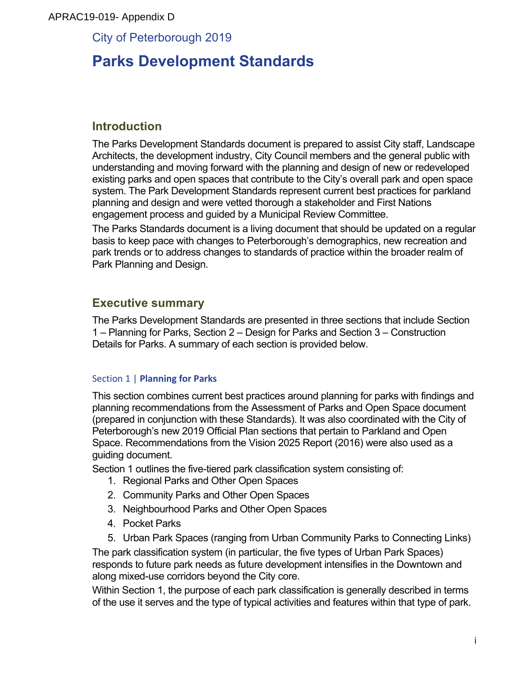### APRAC19-019- Appendix D

City of Peterborough 2019

# **Parks Development Standards**

## **Introduction**

The Parks Development Standards document is prepared to assist City staff, Landscape Architects, the development industry, City Council members and the general public with understanding and moving forward with the planning and design of new or redeveloped existing parks and open spaces that contribute to the City's overall park and open space system. The Park Development Standards represent current best practices for parkland planning and design and were vetted thorough a stakeholder and First Nations engagement process and guided by a Municipal Review Committee.

The Parks Standards document is a living document that should be updated on a regular basis to keep pace with changes to Peterborough's demographics, new recreation and park trends or to address changes to standards of practice within the broader realm of Park Planning and Design.

## **Executive summary**

The Parks Development Standards are presented in three sections that include Section 1 – Planning for Parks, Section 2 – Design for Parks and Section 3 – Construction Details for Parks. A summary of each section is provided below.

### **Section 1 | Planning for Parks**

This section combines current best practices around planning for parks with findings and planning recommendations from the Assessment of Parks and Open Space document (prepared in conjunction with these Standards). It was also coordinated with the City of Peterborough's new 2019 Official Plan sections that pertain to Parkland and Open Space. Recommendations from the Vision 2025 Report (2016) were also used as a guiding document.

Section 1 outlines the five-tiered park classification system consisting of:

- 1. Regional Parks and Other Open Spaces
- 2. Community Parks and Other Open Spaces
- 3. Neighbourhood Parks and Other Open Spaces
- 4. Pocket Parks
- 5. Urban Park Spaces (ranging from Urban Community Parks to Connecting Links)

The park classification system (in particular, the five types of Urban Park Spaces) responds to future park needs as future development intensifies in the Downtown and along mixed-use corridors beyond the City core.

Within Section 1, the purpose of each park classification is generally described in terms of the use it serves and the type of typical activities and features within that type of park.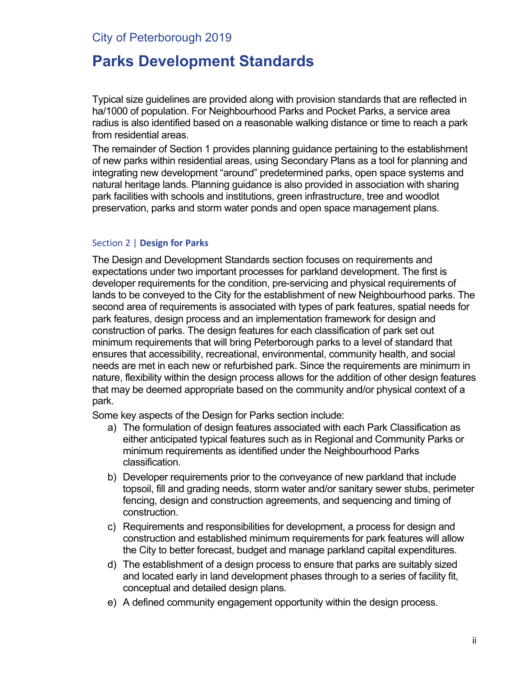## City of Peterborough 2019

## **Parks Development Standards**

Typical size guidelines are provided along with provision standards that are reflected in ha/1000 of population. For Neighbourhood Parks and Pocket Parks, a service area radius is also identified based on a reasonable walking distance or time to reach a park from residential areas.

The remainder of Section 1 provides planning guidance pertaining to the establishment of new parks within residential areas, using Secondary Plans as a tool for planning and integrating new development "around" predetermined parks, open space systems and natural heritage lands. Planning guidance is also provided in association with sharing park facilities with schools and institutions, green infrastructure, tree and woodlot preservation, parks and storm water ponds and open space management plans.

### Section 2 | **Design for Parks**

The Design and Development Standards section focuses on requirements and expectations under two important processes for parkland development. The first is developer requirements for the condition, pre-servicing and physical requirements of lands to be conveyed to the City for the establishment of new Neighbourhood parks. The second area of requirements is associated with types of park features, spatial needs for park features, design process and an implementation framework for design and construction of parks. The design features for each classification of park set out minimum requirements that will bring Peterborough parks to a level of standard that ensures that accessibility, recreational, environmental, community health, and social needs are met in each new or refurbished park. Since the requirements are minimum in nature, flexibility within the design process allows for the addition of other design features that may be deemed appropriate based on the community and/or physical context of a park.

Some key aspects of the Design for Parks section include:

- a) The formulation of design features associated with each Park Classification as either anticipated typical features such as in Regional and Community Parks or minimum requirements as identified under the Neighbourhood Parks classification.
- b) Developer requirements prior to the conveyance of new parkland that include topsoil, fill and grading needs, storm water and/or sanitary sewer stubs, perimeter fencing, design and construction agreements, and sequencing and timing of construction.
- c) Requirements and responsibilities for development, a process for design and construction and established minimum requirements for park features will allow the City to better forecast, budget and manage parkland capital expenditures.
- d) The establishment of a design process to ensure that parks are suitably sized and located early in land development phases through to a series of facility fit, conceptual and detailed design plans.
- e) A defined community engagement opportunity within the design process.